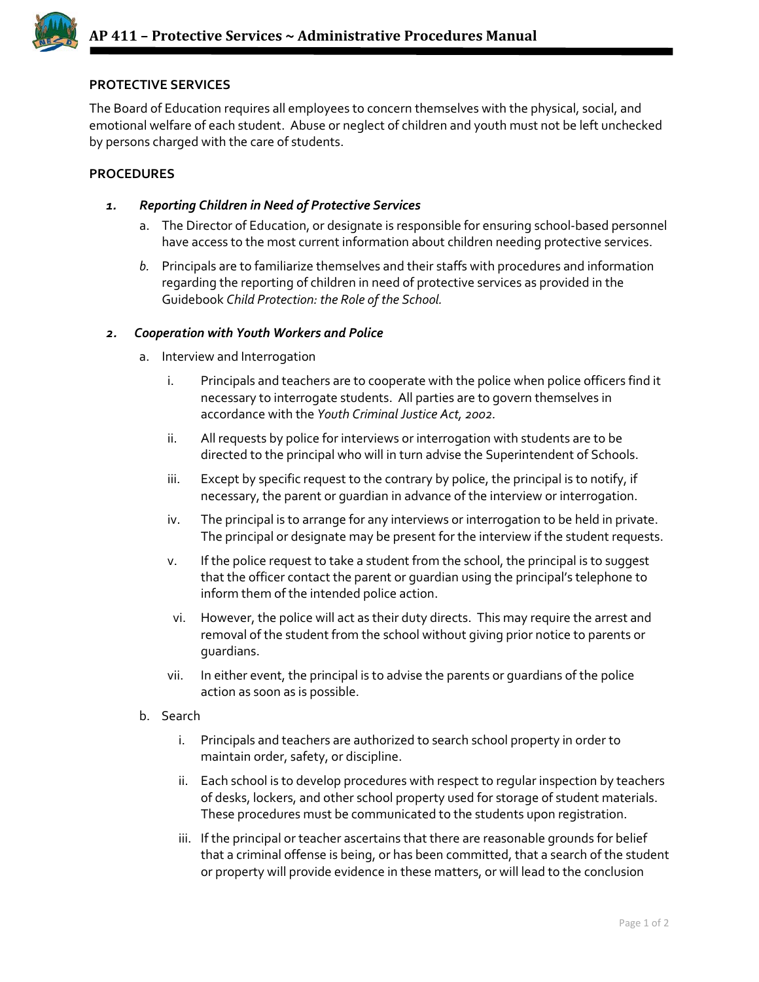

## **PROTECTIVE SERVICES**

The Board of Education requires all employees to concern themselves with the physical, social, and emotional welfare of each student. Abuse or neglect of children and youth must not be left unchecked by persons charged with the care of students.

## **PROCEDURES**

- *1. Reporting Children in Need of Protective Services*
	- a. The Director of Education, or designate is responsible for ensuring school-based personnel have access to the most current information about children needing protective services.
	- *b.* Principals are to familiarize themselves and their staffs with procedures and information regarding the reporting of children in need of protective services as provided in the Guidebook *Child Protection: the Role of the School.*

## *2. Cooperation with Youth Workers and Police*

- a. Interview and Interrogation
	- i. Principals and teachers are to cooperate with the police when police officers find it necessary to interrogate students. All parties are to govern themselves in accordance with the *Youth Criminal Justice Act, 2002.*
	- ii. All requests by police for interviews or interrogation with students are to be directed to the principal who will in turn advise the Superintendent of Schools.
	- iii. Except by specific request to the contrary by police, the principal is to notify, if necessary, the parent or guardian in advance of the interview or interrogation.
	- iv. The principal is to arrange for any interviews or interrogation to be held in private. The principal or designate may be present for the interview if the student requests.
	- v. If the police request to take a student from the school, the principal is to suggest that the officer contact the parent or guardian using the principal's telephone to inform them of the intended police action.
	- vi. However, the police will act as their duty directs. This may require the arrest and removal of the student from the school without giving prior notice to parents or guardians.
	- vii. In either event, the principal is to advise the parents or guardians of the police action as soon as is possible.
- b. Search
	- i. Principals and teachers are authorized to search school property in order to maintain order, safety, or discipline.
	- ii. Each school is to develop procedures with respect to regular inspection by teachers of desks, lockers, and other school property used for storage of student materials. These procedures must be communicated to the students upon registration.
	- iii. If the principal or teacher ascertains that there are reasonable grounds for belief that a criminal offense is being, or has been committed, that a search of the student or property will provide evidence in these matters, or will lead to the conclusion